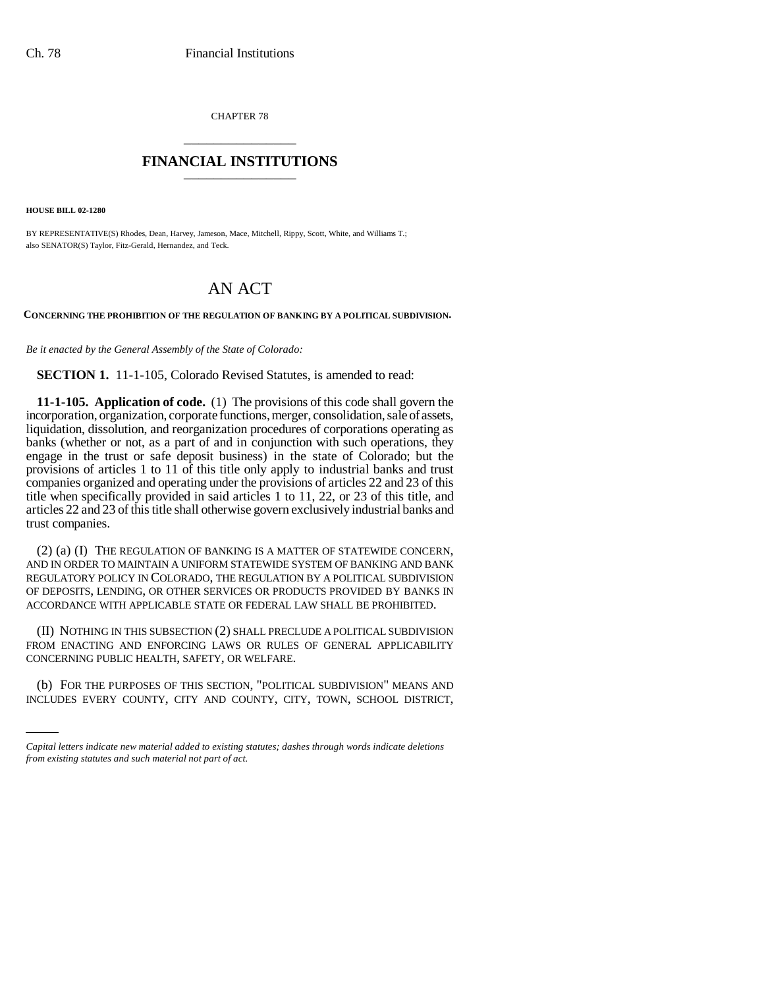CHAPTER 78 \_\_\_\_\_\_\_\_\_\_\_\_\_\_\_

## **FINANCIAL INSTITUTIONS** \_\_\_\_\_\_\_\_\_\_\_\_\_\_\_

**HOUSE BILL 02-1280**

BY REPRESENTATIVE(S) Rhodes, Dean, Harvey, Jameson, Mace, Mitchell, Rippy, Scott, White, and Williams T.; also SENATOR(S) Taylor, Fitz-Gerald, Hernandez, and Teck.

## AN ACT

**CONCERNING THE PROHIBITION OF THE REGULATION OF BANKING BY A POLITICAL SUBDIVISION.**

*Be it enacted by the General Assembly of the State of Colorado:*

**SECTION 1.** 11-1-105, Colorado Revised Statutes, is amended to read:

**11-1-105. Application of code.** (1) The provisions of this code shall govern the incorporation, organization, corporate functions, merger, consolidation, sale of assets, liquidation, dissolution, and reorganization procedures of corporations operating as banks (whether or not, as a part of and in conjunction with such operations, they engage in the trust or safe deposit business) in the state of Colorado; but the provisions of articles 1 to 11 of this title only apply to industrial banks and trust companies organized and operating under the provisions of articles 22 and 23 of this title when specifically provided in said articles 1 to 11, 22, or 23 of this title, and articles 22 and 23 of this title shall otherwise govern exclusively industrial banks and trust companies.

(2) (a) (I) THE REGULATION OF BANKING IS A MATTER OF STATEWIDE CONCERN, AND IN ORDER TO MAINTAIN A UNIFORM STATEWIDE SYSTEM OF BANKING AND BANK REGULATORY POLICY IN COLORADO, THE REGULATION BY A POLITICAL SUBDIVISION OF DEPOSITS, LENDING, OR OTHER SERVICES OR PRODUCTS PROVIDED BY BANKS IN ACCORDANCE WITH APPLICABLE STATE OR FEDERAL LAW SHALL BE PROHIBITED.

CONCERNING PUBLIC HEALTH, SAFETY, OR WELFARE. (II) NOTHING IN THIS SUBSECTION (2) SHALL PRECLUDE A POLITICAL SUBDIVISION FROM ENACTING AND ENFORCING LAWS OR RULES OF GENERAL APPLICABILITY

(b) FOR THE PURPOSES OF THIS SECTION, "POLITICAL SUBDIVISION" MEANS AND INCLUDES EVERY COUNTY, CITY AND COUNTY, CITY, TOWN, SCHOOL DISTRICT,

*Capital letters indicate new material added to existing statutes; dashes through words indicate deletions from existing statutes and such material not part of act.*